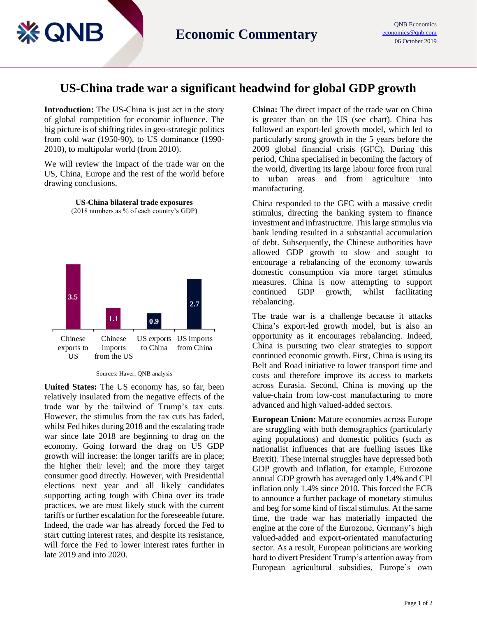## **US-China trade war a significant headwind for global GDP growth**

**Introduction:** The US-China is just act in the story of global competition for economic influence. The big picture is of shifting tides in geo-strategic politics from cold war (1950-90), to US dominance (1990- 2010), to multipolar world (from 2010).

(≰ QNB

We will review the impact of the trade war on the US, China, Europe and the rest of the world before drawing conclusions.

> **US-China bilateral trade exposures** (2018 numbers as % of each country's GDP)



Sources: Haver, QNB analysis

**United States:** The US economy has, so far, been relatively insulated from the negative effects of the trade war by the tailwind of Trump's tax cuts. However, the stimulus from the tax cuts has faded, whilst Fed hikes during 2018 and the escalating trade war since late 2018 are beginning to drag on the economy. Going forward the drag on US GDP growth will increase: the longer tariffs are in place; the higher their level; and the more they target consumer good directly. However, with Presidential elections next year and all likely candidates supporting acting tough with China over its trade practices, we are most likely stuck with the current tariffs or further escalation for the foreseeable future. Indeed, the trade war has already forced the Fed to start cutting interest rates, and despite its resistance, will force the Fed to lower interest rates further in late 2019 and into 2020.

**China:** The direct impact of the trade war on China is greater than on the US (see chart). China has followed an export-led growth model, which led to particularly strong growth in the 5 years before the 2009 global financial crisis (GFC). During this period, China specialised in becoming the factory of the world, diverting its large labour force from rural urban areas and from agriculture into manufacturing.

China responded to the GFC with a massive credit stimulus, directing the banking system to finance investment and infrastructure. This large stimulus via bank lending resulted in a substantial accumulation of debt. Subsequently, the Chinese authorities have allowed GDP growth to slow and sought to encourage a rebalancing of the economy towards domestic consumption via more target stimulus measures. China is now attempting to support continued GDP growth, whilst facilitating rebalancing.

The trade war is a challenge because it attacks China's export-led growth model, but is also an opportunity as it encourages rebalancing. Indeed, China is pursuing two clear strategies to support continued economic growth. First, China is using its Belt and Road initiative to lower transport time and costs and therefore improve its access to markets across Eurasia. Second, China is moving up the value-chain from low-cost manufacturing to more advanced and high valued-added sectors.

**European Union:** Mature economies across Europe are struggling with both demographics (particularly aging populations) and domestic politics (such as nationalist influences that are fuelling issues like Brexit). These internal struggles have depressed both GDP growth and inflation, for example, Eurozone annual GDP growth has averaged only 1.4% and CPI inflation only 1.4% since 2010. This forced the ECB to announce a further package of monetary stimulus and beg for some kind of fiscal stimulus. At the same time, the trade war has materially impacted the engine at the core of the Eurozone, Germany's high valued-added and export-orientated manufacturing sector. As a result, European politicians are working hard to divert President Trump's attention away from European agricultural subsidies, Europe's own